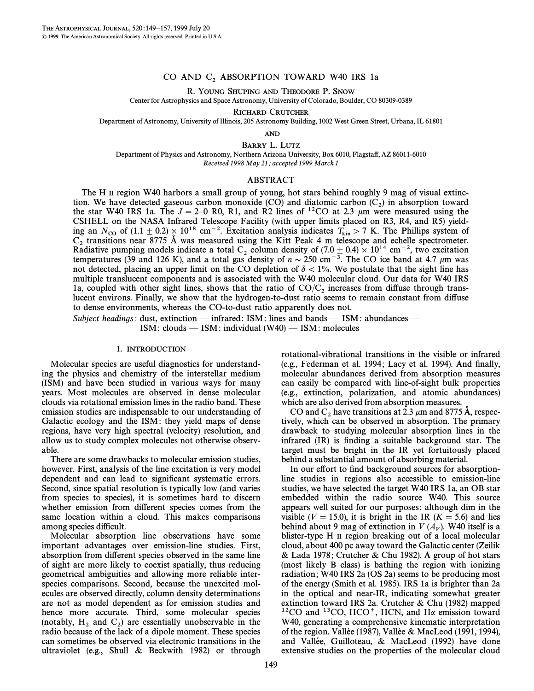## CO AND  $C_2$  ABSORPTION TOWARD W40 IRS 1a

R. YOUNG SHUPING AND THEODORE P. SNOW

Center for Astrophysics and Space Astronomy, University of Colorado, Boulder, CO 80309-0389

RICHARD CRUTCHER

Department of Astronomy, University of Illinois, 205 Astronomy Building, 1002 West Green Street, Urbana, IL 61801

AND

BARRY L. LUTZ

Department of Physics and Astronomy, Northern Arizona University, Box 6010, Flagsta†, AZ 86011-6010 Received 1998 May 21; accepted 1999 March 1

# ABSTRACT

The H II region W40 harbors a small group of young, hot stars behind roughly 9 mag of visual extinction. We have detected gaseous carbon monoxide (CO) and diatomic carbon  $(C_2)$  in absorption toward the star W40 IPS 1a. The  $I = 2-0$  R0, R1, and R2 lines of  $^{12}CO$  at 2.3 um were measured using the the star W40 IRS 1a. The  $J = 2-0$  R0, R1, and R2 lines of <sup>12</sup>CO at 2.3  $\mu$ m were measured using the CSHELL on the NASA Infrared Telescope Facility (with upper limits placed on R3, R4, and R5) yielding an  $N_{\rm CO}$  of  $(1.1 \pm 0.2) \times 10^{18}$  cm<sup>-2</sup>. Excitation analysis indicates  $T_{\rm kin} > 7$  K. The Phillips system of Contrary terms in the Vitt Back 4 m telescope and schelle spectrometer  $C_2$  transitions near 8775 Å was measured using the Kitt Peak 4 m telescope and echelle spectrometer.<br>Radiative pumping models indicate a total  $C_2$  column density of (7.0  $\pm$  0.4) × 10<sup>14</sup> cm<sup>-2</sup>, two excitation temperatures (39 and 126 K), and a total gas density of  $n \sim 250$  cm<sup>-3</sup>. The CO ice band at 4.7  $\mu$ m was not detected, placing an upper limit on the CO depletion of  $\delta < 1\%$ . We postulate that the sight line has multiple translucent components and is associated with the W40 molecular cloud. Our data for W40 IRS 1a, coupled with other sight lines, shows that the ratio of  $CO/C_2$  increases from diffuse through trans- lucent environs. Finally, we show that the hydrogen-to-dust ratio seems to remain constant from diffuse to dense environments, whereas the CO-to-dust ratio apparently does not.

Subject headings: dust, extinction — infrared: ISM: lines and bands — ISM: abundances —  $ISM: clouds$   $\sim$  ISM: individual (W40)  $\sim$  ISM: molecules

#### 1. INTRODUCTION

Molecular species are useful diagnostics for understanding the physics and chemistry of the interstellar medium (ISM) and have been studied in various ways for many years. Most molecules are observed in dense molecular clouds via rotational emission lines in the radio band. These emission studies are indispensable to our understanding of Galactic ecology and the ISM: they yield maps of dense regions, have very high spectral (velocity) resolution, and allow us to study complex molecules not otherwise observable.

There are some drawbacks to molecular emission studies, however. First, analysis of the line excitation is very model dependent and can lead to significant systematic errors. Second, since spatial resolution is typically low (and varies from species to species), it is sometimes hard to discern whether emission from different species comes from the same location within a cloud. This makes comparisons among species difficult.

Molecular absorption line observations have some important advantages over emission-line studies. First, absorption from different species observed in the same line of sight are more likely to coexist spatially, thus reducing geometrical ambiguities and allowing more reliable interspecies comparisons. Second, because the unexcited molecules are observed directly, column density determinations are not as model dependent as for emission studies and hence more accurate. Third, some molecular species (notably,  $H_2$  and  $C_2$ ) are essentially unobservable in the radio because of the lack of a dinole moment. These species radio because of the lack of a dipole moment. These species can sometimes be observed via electronic transitions in the ultraviolet (e.g., Shull & Beckwith 1982) or through rotational-vibrational transitions in the visible or infrared (e.g., Federman et al. 1994; Lacy et al. 1994). And finally, molecular abundances derived from absorption measures can easily be compared with line-of-sight bulk properties (e.g., extinction, polarization, and atomic abundances) which are also derived from absorption measures.

CO and  $C_2$  have transitions at 2.3  $\mu$ m and 8775 Å, respectively, which can be observed in absorption. The primary drawback to studying molecular absorption lines in the infrared  $(IR)$  is finding a suitable background star. The target must be bright in the IR yet fortuitously placed behind a substantial amount of absorbing material.

In our effort to find background sources for absorptionline studies in regions also accessible to emission-line studies, we have selected the target W40 IRS 1a, an OB star embedded within the radio source W40. This source appears well suited for our purposes ; although dim in the visible ( $V = 15.0$ ), it is bright in the IR ( $K = 5.6$ ) and lies behind about 9 mag of extinction in  $V(A_V)$ . W40 itself is a blocal molecular blister-type H II region breaking out of a local molecular cloud, about 400 pc away toward the Galactic center (Zeilik & Lada 1978 ; Crutcher & Chu 1982). A group of hot stars (most likely B class) is bathing the region with ionizing radiation; W40 IRS 2a (OS 2a) seems to be producing most of the energy (Smith et al. 1985). IRS 1a is brighter than 2a in the optical and near-IR, indicating somewhat greater extinction toward IRS 2a. Crutcher & Chu (1982) mapped  $12$ CO and  $13$ CO, HCO<sup>+</sup>, HCN, and H $\alpha$  emission toward W40, generating a comprehensive kinematic interpretation of the region. Vallée (1987), Vallée & MacLeod (1991, 1994), and Vallée, Guilloteau,  $& MacLeod$  (1992) have done extensive studies on the properties of the molecular cloud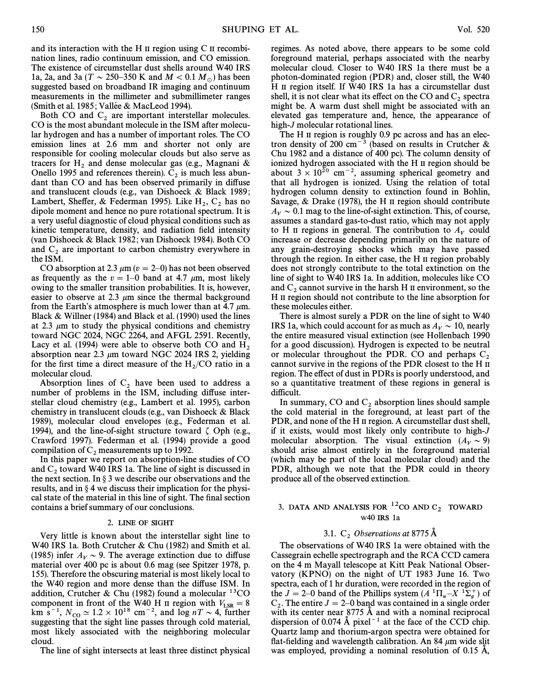and its interaction with the H  $\scriptstyle\rm II$  region using C  $\scriptstyle\rm II$  recombination lines, radio continuum emission, and CO emission. The existence of circumstellar dust shells around W40 IRS 1a, 2a, and 3a (T  $\sim$  250–350 K and M  $<$  0.1 M<sub>o</sub>) has been suggested based on broadband IR imaging and continuum measurements in the millimeter and submillimeter ranges (Smith et al. 1985; Vallée & MacLeod 1994).

Both CO and  $C_2$  are important interstellar molecules. CO is the most abundant molecule in the ISM after molecular hydrogen and has a number of important roles. The CO emission lines at 2.6 mm and shorter not only are responsible for cooling molecular clouds but also serve as tracers for H<sub>2</sub> and dense molecular gas (e.g., Magnani & Onello 1995 and references therein).  $C_2$  is much less abundant than CO and has been observed primarily in diffuse and translucent clouds (e.g., van Dishoeck & Black 1989 ; Lambert, Sheffer, & Federman 1995). Like  $H_2$ ,  $C_2$  has no dipole moment and hence no pure rotational spectrum. It is a very useful diagnostic of cloud physical conditions such as kinetic temperature, density, and radiation field intensity (van Dishoeck & Black 1982; van Dishoeck 1984). Both CO and  $C_2$  are important to carbon chemistry everywhere in the ISM.

CO absorption at 2.3  $\mu$ m ( $v=2-0$ ) has not been observed as frequently as the  $v = 1$ –0 band at 4.7  $\mu$ m, most likely owing to the smaller transition probabilities. It is, however, easier to observe at 2.3  $\mu$ m since the thermal background from the Earth's atmosphere is much lower than at 4.7  $\mu$ m. Black & Willner (1984) and Black et al. (1990) used the lines at 2.3  $\mu$ m to study the physical conditions and chemistry toward NGC 2024, NGC 2264, and AFGL 2591. Recently, Lacy et al. (1994) were able to observe both CO and  $H_2$  absorption near 2.3  $\mu$ m toward NGC 2024 IRS 2, yielding for the first time a direct measure of the  $H_2/CO$  ratio in a molecular cloud molecular cloud.

Absorption lines of  $C_2$  have been used to address a number of problems in the ISM, including diffuse interstellar cloud chemistry (e.g., Lambert et al. 1995), carbon chemistry in translucent clouds (e.g., van Dishoeck & Black 1989), molecular cloud envelopes (e.g., Federman et al. 1994), and the line-of-sight structure toward  $\zeta$  Oph (e.g., Crawford 1997). Federman et al. (1994) provide a good compilation of  $C_2$  measurements up to 1992.<br>In this paper we report on absorption-line studies of CO

and  $C_2$  toward W40 IRS 1a. The line of sight is discussed in the next section. In § 3 we describe our observations and the results, and in  $\S 4$  we discuss their implication for the physical state of the material in this line of sight. The final section contains a brief summary of our conclusions.

## 2. LINE OF SIGHT

Very little is known about the interstellar sight line to W40 IRS 1a. Both Crutcher & Chu (1982) and Smith et al. (1985) infer  $A_V \sim 9$ . The average extinction due to diffuse material over 400 pc is about 0.6 mag (see Spitzer 1978, p. 155). Therefore the obscuring material is most likely local to the W40 region and more dense than the diffuse ISM. In addition, Crutcher & Chu (1982) found a molecular <sup>13</sup>CO component in front of the W40 H II region with  $V_{LSR} = 8$ <br>km s<sup>-1</sup> N  $\approx 1.2 \times 10^{18}$  cm<sup>-2</sup> and log uT s A further km s<sup>-1</sup>,  $N_{\text{CO}} \simeq 1.2 \times 10^{18} \text{ cm}^{-2}$ , and log nT  $\sim$  4, further consecting that the sight line passes through cold material suggesting that the sight line passes through cold material, most likely associated with the neighboring molecular cloud.

The line of sight intersects at least three distinct physical

regimes. As noted above, there appears to be some cold foreground material, perhaps associated with the nearby molecular cloud. Closer to W40 IRS 1a there must be a photon-dominated region (PDR) and, closer still, the W40 H II region itself. If W40 IRS 1a has a circumstellar dust shell, it is not clear what its effect on the CO and  $C_2$  spectra might be. A warm dust shell might be associated with an elevated gas temperature and, hence, the appearance of high-J molecular rotational lines.

The H II region is roughly 0.9 pc across and has an electron density of 200 cm<sup> $-3$ </sup> (based on results in Crutcher & Chu 1982 and a distance of 400 pc). The column density of ionized hydrogen associated with the H II region should be about  $3 \times 10^{20}$  cm<sup>-2</sup>, assuming spherical geometry and that all hydrogen is ionized. Using the relation of total hydrogen column density to extinction found in Bohlin, Savage, & Drake (1978), the H  $\scriptstyle\rm II$  region should contribute  $A_V \sim 0.1$  mag to the line-of-sight extinction. This, of course, assumes a standard gas-to-dust ratio, which may not apply to H II regions in general. The contribution to  $A_V$  could increase or decrease depending primarily on the nature of any grain-destroying shocks which may have passed through the region. In either case, the H II region probably does not strongly contribute to the total extinction on the line of sight to W40 IRS 1a. In addition, molecules like CO and  $C_2$  cannot survive in the harsh H II environment, so the H II region should not contribute to the line absorption for these molecules either.

There is almost surely a PDR on the line of sight to W40 IRS 1a, which could account for as much as  $A_V \sim 10$ , nearly the entire measured visual extinction (see Hollenbach 1990 for a good discussion). Hydrogen is expected to be neutral or molecular throughout the PDR. CO and perhaps  $C_2$  cannot survive in the regions of the PDR closest to the H  $\text{II}$ region. The effect of dust in PDRs is poorly understood, and so a quantitative treatment of these regions in general is difficult.

In summary, CO and  $C_2$  absorption lines should sample the cold material in the foreground, at least part of the PDR, and none of the H II region. A circumstellar dust shell, if it exists, would most likely only contribute to high-J molecular absorption. The visual extinction  $(A_V \sim 9)$ should arise almost entirely in the foreground material (which may be part of the local molecular cloud) and the PDR, although we note that the PDR could in theory produce all of the observed extinction.

## 3. DATA AND ANALYSIS FOR  $^{12}$ CO AND C<sub>2</sub> TOWARD W40 IRS 1a

# 3.1.  $C_2$  Observations at 8775  $\AA$

The observations of W40 IRS 1a were obtained with the Cassegrain echelle spectrograph and the RCA CCD camera on the 4 m Mayall telescope at Kitt Peak National Observatory (KPNO) on the night of UT 1983 June 16. Two spectra, each of 1 hr duration, were recorded in the region of the  $J = 2-0$  band of the Phillips system  $(A^{-1}\Pi_u - X^{-1}\Sigma_g^+)$  of  $C$ . The entire  $I = 2-0$  band was contained in a single order  $C_2$ . The entire  $J = 2$ –0 band was contained in a single order<br>with its center near 8775  $\hat{\lambda}$  and with a nominal reciprocal with its center near  $8775$  Å and with a nominal reciprocal dispersion of 0.074 Å pixel<sup> $-1$ </sup> at the face of the CCD chip. Quartz lamp and thorium-argon spectra were obtained for flat-fielding and wavelength calibration. An 84  $\mu$ m wide slit was employed, providing a nominal resolution of 0.15 A,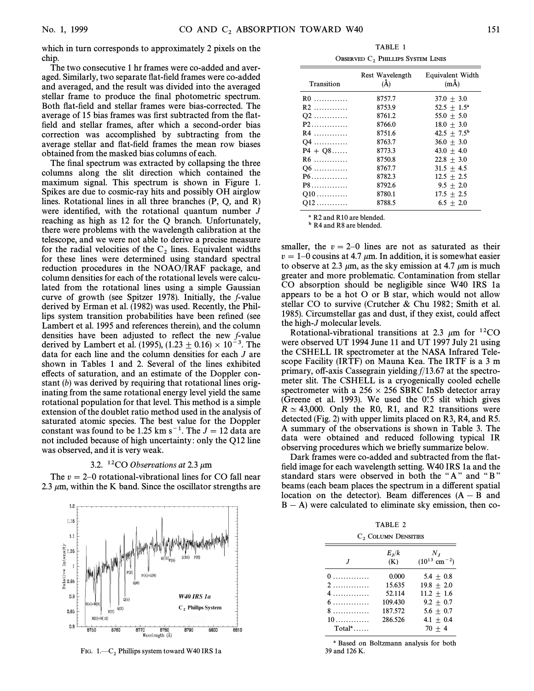which in turn corresponds to approximately 2 pixels on the chip.

The two consecutive 1 hr frames were co-added and averaged. Similarly, two separate flat-field frames were co-added and averaged, and the result was divided into the averaged stellar frame to produce the final photometric spectrum. Both flat-field and stellar frames were bias-corrected. The average of 15 bias frames was first subtracted from the flatfield and stellar frames, after which a second-order bias correction was accomplished by subtracting from the average stellar and flat-field frames the mean row biases obtained from the masked bias columns of each.

The final spectrum was extracted by collapsing the three columns along the slit direction which contained the maximum signal. This spectrum is shown in Figure 1. Spikes are due to cosmic-ray hits and possibly OH airglow lines. Rotational lines in all three branches (P, Q, and R) were identified, with the rotational quantum number  $J$ reaching as high as 12 for the Q branch. Unfortunately, there were problems with the wavelength calibration at the telescope, and we were not able to derive a precise measure for the radial velocities of the  $C_2$  lines. Equivalent widths for these lines were determined using standard spectral reduction procedures in the NOAO/IRAF package, and column densities for each of the rotational levels were calculated from the rotational lines using a simple Gaussian curve of growth (see Spitzer 1978). Initially, the f-value derived by Erman et al. (1982) was used. Recently, the Phillips system transition probabilities have been refined (see Lambert et al. 1995 and references therein), and the column densities have been adjusted to reflect the new f-value derived by Lambert et al. (1995), (1.23  $\pm$  0.16)  $\times$  10<sup> $-3$ </sup>. The data for each line and the column densities for each J are shown in Tables 1 and 2. Several of the lines exhibited effects of saturation, and an estimate of the Doppler constant (b) was derived by requiring that rotational lines originating from the same rotational energy level yield the same rotational population for that level. This method is a simple extension of the doublet ratio method used in the analysis of saturated atomic species. The best value for the Doppler constant was found to be 1.25 km s<sup> $-1$ </sup>. The  $J = 12$  data are not included because of high uncertainty : only the Q12 line was observed, and it is very weak.

### 3.2. <sup>12</sup>CO Observations at 2.3  $\mu$ m

The  $v = 2$ –0 rotational-vibrational lines for CO fall near 2.3  $\mu$ m, within the K band. Since the oscillator strengths are



FIG.  $1-C_2$  Phillips system toward W40 IRS 1a

TABLE 1 OBSERVED  $C_2$  PHILLIPS SYSTEM LINES

| Transition | Rest Wavelength<br>$(\check{A})$ | Equivalent Width<br>$(m\AA)$ |
|------------|----------------------------------|------------------------------|
| $R0$       | 8757.7                           | $37.0 + 3.0$                 |
| $R2$       | 8753.9                           | 52.5 $\pm$ 1.5 <sup>a</sup>  |
| Q2         | 8761.2                           | $55.0 + 5.0$                 |
| $P2$       | 8766.0                           | $18.0 + 3.0$                 |
| $R4$       | 8751.6                           | $42.5 + 7.5^{\rm b}$         |
| Q4         | 8763.7                           | $36.0 + 3.0$                 |
| $P4 + Q8$  | 8773.3                           | $43.0 + 4.0$                 |
| $R6$       | 8750.8                           | $22.8 + 3.0$                 |
| $Q6$       | 8767.7                           | $31.5 + 4.5$                 |
| $P6$       | 8782.3                           | $12.5 + 2.5$                 |
| $P8$       | 8792.6                           | $9.5 + 2.0$                  |
| $Q10$      | 8780.1                           | $17.5 + 2.5$                 |
| $Q12$      | 8788.5                           | $6.5 + 2.0$                  |

<sup>a</sup> R<sub>2</sub> and R<sub>10</sub> are blended.

**b** R4 and R8 are blended.

smaller, the  $v = 2-0$  lines are not as saturated as their  $v=1-0$  cousins at 4.7  $\mu$ m. In addition, it is somewhat easier to observe at 2.3  $\mu$ m, as the sky emission at 4.7  $\mu$ m is much greater and more problematic. Contamination from stellar CO absorption should be negligible since W40 IRS 1a appears to be a hot O or B star, which would not allow stellar CO to survive (Crutcher & Chu 1982; Smith et al. 1985). Circumstellar gas and dust, if they exist, could affect the high-J molecular levels.

Rotational-vibrational transitions at 2.3  $\mu$ m for <sup>12</sup>CO were observed UT 1994 June 11 and UT 1997 July 21 using the CSHELL IR spectrometer at the NASA Infrared Telescope Facility (IRTF) on Mauna Kea. The IRTF is a 3 m primary, off-axis Cassegrain yielding  $f/13.67$  at the spectrometer slit. The CSHELL is a cryogenically cooled echelle spectrometer with a  $256 \times 256$  SBRC InSb detector array (Greene et al. 1993). We used the  $0.5$  slit which gives  $R \simeq 43,000$ . Only the R0, R1, and R2 transitions were detected (Fig. 2) with upper limits placed on R3, R4, and R5. A summary of the observations is shown in Table 3. The data were obtained and reduced following typical IR observing procedures which we briefly summarize below.

Dark frames were co-added and subtracted from the flatfield image for each wavelength setting. W40 IRS 1a and the standard stars were observed in both the " $A$ " and " $B$ " beams (each beam places the spectrum in a different spatial location on the detector). Beam differences  $(A - B$  and  $B - A$ ) were calculated to eliminate sky emission, then co-

TABLE 2

| C, COLUMN DENSITIES             |                                                            |                                                                                              |  |  |  |  |
|---------------------------------|------------------------------------------------------------|----------------------------------------------------------------------------------------------|--|--|--|--|
|                                 | $E_{I}/k$<br>(K)                                           | $N_{I}$<br>$(10^{13}$ cm <sup>-2</sup> )                                                     |  |  |  |  |
| 0<br>2.<br>4<br>6.<br>8<br>$10$ | 0.000<br>15.635<br>52.114<br>109.430<br>187.572<br>286.526 | 5.4 $\pm$ 0.8<br>$19.8 + 2.0$<br>$11.2 + 1.6$<br>$9.2 + 0.7$<br>$5.6 + 0.7$<br>4.1 $\pm$ 0.4 |  |  |  |  |
| $Totala$                        |                                                            | $70 + 4$                                                                                     |  |  |  |  |

a Based on Boltzmann analysis for both 39 and 126 K.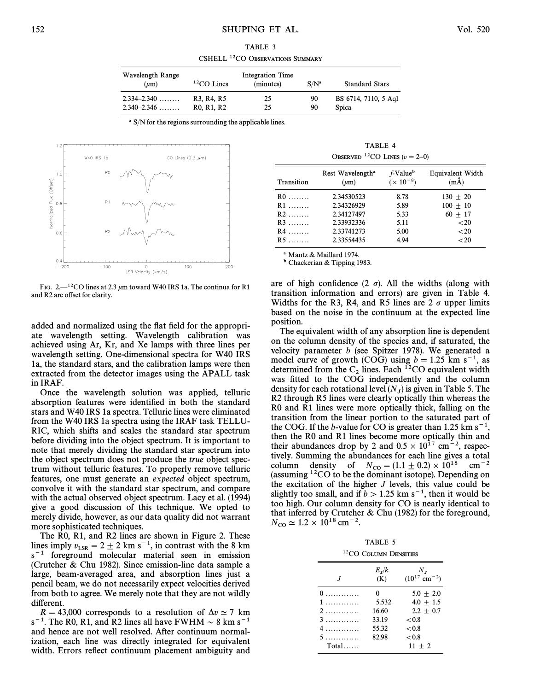TABLE 3 CSHELL <sup>12</sup>CO OBSERVATIONS SUMMARY

| Wavelength Range<br>$(\mu m)$ | $12CO$ Lines                                     | Integration Time<br>(minutes) | $S/N^a$ | <b>Standard Stars</b> |
|-------------------------------|--------------------------------------------------|-------------------------------|---------|-----------------------|
| $2.334 - 2.340$               | R3, R4, R5                                       | 25                            | 90      | BS 6714, 7110, 5 Agl  |
| $2.340 - 2.346$               | R <sub>0</sub> , R <sub>1</sub> , R <sub>2</sub> | 25                            | 90      | Spica                 |

<sup>a</sup> S/N for the regions surrounding the applicable lines.



FIG. 2.<sup>12</sup>CO lines at 2.3  $\mu$ m toward W40 IRS 1a. The continua for R1 and R2 are offset for clarity.

TABLE 4 OBSERVED <sup>12</sup>CO LINES ( $v=2-0$ )

| Transition | Rest Wavelength <sup>a</sup><br>$(\mu m)$ | f-Value <sup>b</sup><br>$(x 10^{-8})$ | <b>Equivalent Width</b><br>$(m\AA)$ |
|------------|-------------------------------------------|---------------------------------------|-------------------------------------|
| $R0$       | 2.34530523                                | 8.78                                  | $130 + 20$                          |
| $R1$       | 2.34326929                                | 5.89                                  | $100 + 10$                          |
| $R2$       | 2.34127497                                | 5.33                                  | $60 + 17$                           |
| $R3$       | 2.33932336                                | 5.11                                  | ${<}20$                             |
| $R4$       | 2.33741273                                | 5.00                                  | ${<}20$                             |
| $R5$       | 2.33554435                                | 4.94                                  | < 20                                |

a Mantz & Maillard 1974.

b Chackerian & Tipping 1983.

are of high confidence  $(2 \sigma)$ . All the widths (along with transition information and errors) are given in Table 4. Widths for the R3, R4, and R5 lines are  $2\sigma$  upper limits based on the noise in the continuum at the expected line position.

The equivalent width of any absorption line is dependent on the column density of the species and, if saturated, the velocity parameter b (see Spitzer 1978). We generated a model curve of growth (COG) using  $b = 1.25$  km s<sup>-1</sup>, as determined from the  $C_2$  lines. Each <sup>12</sup>CO equivalent width was fitted to the COG independently and the column density for each rotational level  $(N_J)$  is given in Table 5. The  $R_2$  through R5 lines were clearly optically thin whereas the R2 through R5 lines were clearly optically thin whereas the R0 and R1 lines were more optically thick, falling on the transition from the linear portion to the saturated part of the COG. If the *b*-value for CO is greater than 1.25 km s<sup>-1</sup>, then the R0 and R1 lines become more optically thin and their abundances drop by 2 and  $0.5 \times 10^{17}$  cm<sup>-2</sup>, respectively. Summing the abundances for each line gives a total column density of  $N_{\text{CO}} = (1.1 \pm 0.2) \times 10^{18} \text{ cm}^{-2}$ (assuming  $12CO$  to be the dominant isotope). Depending on the excitation of the higher  $J$  levels, this value could be slightly too small, and if  $b > 1.25$  km s<sup>-1</sup>, then it would be too high. Our column density for CO is nearly identical to that inferred by Crutcher & Chu (1982) for the foreground,  $N_{\rm CO} \simeq 1.2 \times 10^{18}$  cm<sup>-2</sup>.

TABLE 5 12CO COLUMN DENSITIES

|         | $E_{I}/k$<br>(K) | $N_{I}$<br>$(10^{17}$ cm <sup>-2</sup> ) |
|---------|------------------|------------------------------------------|
| $0$     | 0                | $5.0 + 2.0$                              |
| 1       | 5.532            | $4.0 + 1.5$                              |
|         | 16.60            | $2.2 + 0.7$                              |
| 3       | 33.19            | < 0.8                                    |
| 4.      | 55.32            | < 0.8                                    |
| 5       | 82.98            | < 0.8                                    |
| $Total$ |                  | $11 + 2$                                 |

added and normalized using the flat field for the appropriate wavelength setting. Wavelength calibration was achieved using Ar, Kr, and Xe lamps with three lines per wavelength setting. One-dimensional spectra for W40 IRS 1a, the standard stars, and the calibration lamps were then extracted from the detector images using the APALL task in IRAF.

Once the wavelength solution was applied, telluric absorption features were identified in both the standard stars and W40 IRS 1a spectra. Telluric lines were eliminated from the W40 IRS 1a spectra using the IRAF task TELLU-RIC, which shifts and scales the standard star spectrum before dividing into the object spectrum. It is important to note that merely dividing the standard star spectrum into the object spectrum does not produce the true object spectrum without telluric features. To properly remove telluric features, one must generate an expected object spectrum, convolve it with the standard star spectrum, and compare with the actual observed object spectrum. Lacy et al. (1994) give a good discussion of this technique. We opted to merely divide, however, as our data quality did not warrant more sophisticated techniques.

The R0, R1, and R2 lines are shown in Figure 2. These lines imply  $v_{LSR} = 2 \pm 2$  km s<sup>-1</sup>, in contrast with the 8 km  $s^{-1}$  foreground molecular material seen in emission (Crutcher & Chu 1982). Since emission-line data sample a large, beam-averaged area, and absorption lines just a pencil beam, we do not necessarily expect velocities derived from both to agree. We merely note that they are not wildly different.

 $R = 43,000$  corresponds to a resolution of  $\Delta v \simeq 7$  km  $s^{-1}$ . The R0, R1, and R2 lines all have FWHM  $\sim 8$  km s<sup>-1</sup> and hence are not well resolved. After continuum normalization, each line was directly integrated for equivalent width. Errors reflect continuum placement ambiguity and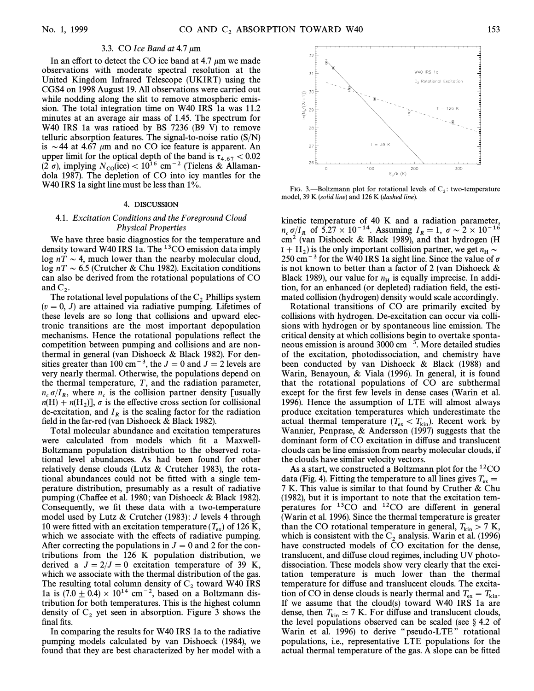## 3.3. CO Ice Band at  $4.7 \mu m$

In an effort to detect the CO ice band at 4.7  $\mu$ m we made observations with moderate spectral resolution at the United Kingdom Infrared Telescope (UKIRT) using the CGS4 on 1998 August 19. All observations were carried out while nodding along the slit to remove atmospheric emission. The total integration time on W40 IRS 1a was 11.2 minutes at an average air mass of 1.45. The spectrum for W40 IRS 1a was ratioed by BS 7236 (B9 V) to remove telluric absorption features. The signal-to-noise ratio  $(S/N)$ is  $\sim$  44 at 4.67  $\mu$ m and no CO ice feature is apparent. An upper limit for the optical depth of the band is  $\tau_{4.67} < 0.02$ <br>(2.5) implying  $N_{\rm c}$  (ice)  $\leq 10^{16}$  cm<sup>-2</sup> (Tielens & Allaman- $(2 \sigma)$ , implying  $N_{\text{co}}(\text{ice}) < 10^{16} \text{ cm}^{-2}$  (Tielens & Allamandola 1987). The depletion of CO into icy mantles for the W40 IRS 1a sight line must be less than 1%.

#### 4. DISCUSSION

### 4.1. Excitation Conditions and the Foreground Cloud Physical Properties

We have three basic diagnostics for the temperature and density toward W40 IRS 1a. The <sup>13</sup>CO emission data imply log  $nT \sim 4$ , much lower than the nearby molecular cloud, log nT  $\sim$  6.5 (Crutcher & Chu 1982). Excitation conditions can also be derived from the rotational populations of CO and  $C_2$ .<br>The r

The rotational level populations of the C<sub>2</sub> Phillips system  $(v=0, J)$  are attained via radiative pumping. Lifetimes of these levels are so long that collisions and upward electronic transitions are the most important depopulation mechanisms. Hence the rotational populations reflect the competition between pumping and collisions and are nonthermal in general (van Dishoeck & Black 1982). For densities greater than 100 cm<sup>-3</sup>, the  $J = 0$  and  $J = 2$  levels are very nearly thermal. Otherwise, the populations depend on the thermal temperature,  $T$ , and the radiation parameter,  $n_c \sigma/I_R$ , where  $n_c$  is the collision partner density [usually  $n(H) + n(H)$ ]  $\sigma$  is the effective cross section for collisional  $n_c \sigma / R$ , where  $n_c$  is the effective cross section for collisional<br> $d\theta$ -excitation for collisional 2 is the effective cross section for collisional de-excitation, and  $I_R$  is the scaling factor for the radiation field in the far-red (van Dishoeck  $&$  Black 1982).

Total molecular abundance and excitation temperatures were calculated from models which fit a Maxwell-Boltzmann population distribution to the observed rotational level abundances. As had been found for other relatively dense clouds (Lutz & Crutcher 1983), the rotational abundances could not be fitted with a single temperature distribution, presumably as a result of radiative pumping (Chaffee et al. 1980; van Dishoeck & Black 1982). Consequently, we fit these data with a two-temperature model used by Lutz & Crutcher (1983):  $J$  levels 4 through 10 were fitted with an excitation temperature  $(T_{ex})$  of 126 K, which we associate with the effects of radiative numning which we associate with the effects of radiative pumping. After correcting the populations in  $J = 0$  and 2 for the contributions from the 126 K population distribution, we derived a  $J = 2/J = 0$  excitation temperature of 39 K, which we associate with the thermal distribution of the gas. The resulting total column density of  $C_2$  toward W40 IRS 1a is (7.0  $\pm$  0.4)  $\times$  10<sup>14</sup> cm<sup>-2</sup>, based on a Boltzmann distribution for both temperatures. This is the highest column density of  $C_2$  yet seen in absorption. Figure 3 shows the final fits.

In comparing the results for W40 IRS 1a to the radiative pumping models calculated by van Dishoeck (1984), we found that they are best characterized by her model with a



FIG. 3.—Boltzmann plot for rotational levels of  $C_2$ : two-temperature C<sub>2</sub> and 20 K (calid line) and 126 K (dashed line) model, 39 K (solid line) and 126 K (dashed line).

kinetic temperature of 40 K and a radiation parameter,  $n_c \sigma/I_R$  of  $5.27 \times 10^{-14}$ . Assuming  $I_R = 1$ ,  $\sigma \sim 2 \times 10^{-16}$ <br>cm<sup>2</sup> (van Dishoeck & Black 1989), and that hydrogen (H cm2 (van Dishoeck & Black 1989), and that hydrogen (H  $I + H_2$  is the only important collision partner, we get  $n_H \sim$ <br>250 cm<sup>-3</sup> for the W40 IPS 12 sight line. Since the value of c 250 cm<sup>-3</sup> for the W40 IRS 1a sight line. Since the value of  $\sigma$ is not known to better than a factor of 2 (van Dishoeck & Black 1989), our value for  $n<sub>H</sub>$  is equally imprecise. In addition, for an enhanced (or depleted) radiation field, the estimated collision (hydrogen) density would scale accordingly.

Rotational transitions of CO are primarily excited by collisions with hydrogen. De-excitation can occur via collisions with hydrogen or by spontaneous line emission. The critical density at which collisions begin to overtake spontaneous emission is around 3000 cm<sup> $-3$ </sup>. More detailed studies of the excitation, photodissociation, and chemistry have been conducted by van Dishoeck & Black (1988) and Warin, Benayoun, & Viala (1996). In general, it is found that the rotational populations of CO are subthermal except for the first few levels in dense cases (Warin et al. 1996). Hence the assumption of LTE will almost always produce excitation temperatures which underestimate the actual thermal temperature  $(T_{\text{ex}} < T_{\text{kin}})$ . Recent work by (Nannier, Pennrase,  $\&$  Andersson (1997) suggests that the Wannier, Penprase, & Andersson (1997) suggests that the dominant form of CO excitation in diffuse and translucent clouds can be line emission from nearby molecular clouds, if the clouds have similar velocity vectors.

As a start, we constructed a Boltzmann plot for the 12CO data (Fig. 4). Fitting the temperature to all lines gives  $T_{ex} = 7$  K. This value is similar to that found by Cruther & Chu 7 K. This value is similar to that found by Cruther & Chu (1982), but it is important to note that the excitation temperatures for  ${}^{13}CO$  and  ${}^{12}CO$  are different in general (Warin et al. 1996). Since the thermal temperature is greater than the CO rotational temperature in general,  $T_{\text{kin}} > 7$  K, which is consistent with the C, analysis Warin et al. (1996) which is consistent with the  $C_2$  analysis. Warin et al. (1996) have constructed models of CO excitation for the dense, translucent, and diffuse cloud regimes, including UV photodissociation. These models show very clearly that the excitation temperature is much lower than the thermal temperature for diffuse and translucent clouds. The excitation of CO in dense clouds is nearly thermal and  $T_{ex} = T_{kin}$ .<br>If we assume that the cloud(s) toward W40 IPS 1a are If we assume that the cloud(s) toward W40 IRS 1a are dense, then  $T_{\text{kin}} \simeq 7$  K. For diffuse and translucent clouds, the level populations observed can be scaled (see 8.4.2 of the level populations observed can be scaled (see  $\S$  4.2 of Warin et al. 1996) to derive "pseudo-LTE" rotational populations, i.e., representative LTE populations for the actual thermal temperature of the gas. A slope can be fitted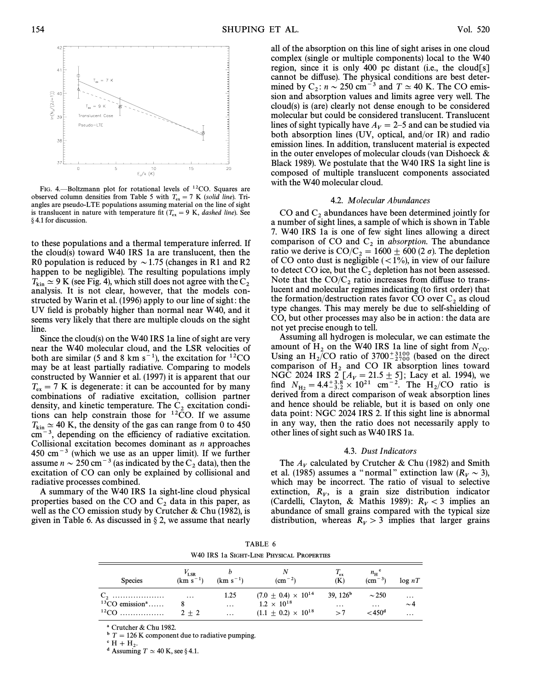

FIG. 4.—Boltzmann plot for rotational levels of  $^{12}CO$ . Squares are observed column densities from Table 5 with  $T_{\text{ex}} = 7$  K (solid line). Triangles are pseudo-LTE populations assuming material on the line of sight is translucent in nature with temperature fit  $(T_{\rm ex} = 9 \text{ K}, \text{dashed line})$ . See § 4.1 for discussion.

to these populations and a thermal temperature inferred. If the cloud(s) toward W40 IRS 1a are translucent, then the R0 population is reduced by  $\sim$  1.75 (changes in R1 and R2 happen to be negligible). The resulting populations imply  $T_{\rm kin} \simeq 9$  K (see Fig. 4), which still does not agree with the C<sub>2</sub> analysis. It is not clear, however, that the models constructed by Warin et al. (1996) apply to our line of sight: the UV field is probably higher than normal near W40, and it seems very likely that there are multiple clouds on the sight line.

Since the cloud(s) on the W40 IRS 1a line of sight are very near the W40 molecular cloud, and the LSR velocities of both are similar (5 and 8 km  $s^{-1}$ ), the excitation for <sup>12</sup>CO may be at least partially radiative. Comparing to models constructed by Wannier et al. (1997) it is apparent that our  $T_{\rm ex} = 7$  K is degenerate: it can be accounted for by many combinations of radiative excitation, collision partner density, and kinetic temperature. The  $C_2$  excitation conditions can help constrain those for  $^{12}CO$ . If we assume  $T_{\rm kin} \simeq 40$  K, the density of the gas can range from 0 to 450  $\text{cm}^{-3}$ , depending on the efficiency of radiative excitation. Collisional excitation becomes dominant as n approaches  $450 \text{ cm}^{-3}$  (which we use as an upper limit). If we further assume  $n \sim 250 \text{ cm}^{-3}$  (as indicated by the C<sub>2</sub> data), then the excitation of CO can only be explained by collisional and radiative processes combined.

A summary of the W40 IRS 1a sight-line cloud physical properties based on the CO and  $C_2$  data in this paper, as well as the CO emission study by Crutcher & Chu (1982), is given in Table 6. As discussed in  $\S 2$ , we assume that nearly

all of the absorption on this line of sight arises in one cloud complex (single or multiple components) local to the W40 region, since it is only 400 pc distant (i.e., the cloud[s] cannot be diffuse). The physical conditions are best determined by  $C_2$ :  $n \sim 250$  cm<sup>-3</sup> and  $T \simeq 40$  K. The CO emis-<br>sion and absorption values and limits agree very well. The sion and absorption values and limits agree very well. The cloud(s) is (are) clearly not dense enough to be considered molecular but could be considered translucent. Translucent lines of sight typically have  $A_V = 2$ –5 and can be studied via both absorption lines (UV, optical, and/or IR) and radio emission lines. In addition, translucent material is expected in the outer envelopes of molecular clouds (van Dishoeck & Black 1989). We postulate that the W40 IRS 1a sight line is composed of multiple translucent components associated with the W40 molecular cloud.

#### 4.2. Molecular Abundances

CO and  $C_2$  abundances have been determined jointly for a number of sight lines, a sample of which is shown in Table 7. W40 IRS 1a is one of few sight lines allowing a direct comparison of CO and C<sub>2</sub> in *absorption*. The abundance ratio we derive is  $CO/C_2 = 1600 \pm 600 (2 \sigma)$ . The depletion of CO onto dust is negligible  $(<1%)$ , in view of our failure to detect CO ice, but the  $C_2$  depletion has not been assessed. Note that the  $CO/C_2$  ratio increases from diffuse to trans-<br>lucent and molecular regimes indicating (to first order) that the formation/destruction rates favor CO over  $C_2$  as cloud type changes. This may merely be due to self-shielding of CO, but other processes may also be in action : the data are not yet precise enough to tell.

Assuming all hydrogen is molecular, we can estimate the amount of  $H_2$  on the W40 IRS 1a line of sight from  $N_{\text{CO}}$ . Using an  $\rm H_2/CO$  ratio of  $3700^{+3100}_{-2700}$  (based on the direct comparison of H and CO IP absorption lines toward comparison of H<sub>2</sub> and CO IR absorption lines toward NGC 2024 IRS 2  $[A_V = 21.5 \pm 5]$ ; Lacy et al. 1994), we find  $N = 4.4^{+3.8} \times 10^{21}$  cm<sup>-2</sup>. The H/CO ratio is find  $N_{\text{H}_2} = 4.4^{+3.8}_{-3.2} \times 10^{21} \text{ cm}^{-2}$ . The H<sub>2</sub>/CO ratio is derived from a direct comparison of weak absorption lines derived from a direct comparison of weak absorption lines and hence should be reliable, but it is based on only one data point: NGC 2024 IRS 2. If this sight line is abnormal in any way, then the ratio does not necessarily apply to other lines of sight such as W40 IRS 1a.

#### 4.3. Dust Indicators

The  $A_V$  calculated by Crutcher & Chu (1982) and Smith et al. (1985) assumes a "normal" extinction law ( $R_V \sim 3$ ), which may be incorrect. The ratio of visual to selective extinction,  $R_V$ , is a grain size distribution indicator<br>(Cardelli Clayton, & Mathis 1989);  $R > 3$  implies an (Cardelli, Clayton, & Mathis 1989):  $R_V < 3$  implies an abundance of small grains compared with the typical size abundance of small grains compared with the typical size distribution, whereas  $R_V > 3$  implies that larger grains

TABLE 6 W40 IRS 1a SIGHT-LINE PHYSICAL PROPERTIES

| <b>Species</b>               | $V_{LSR}$<br>$(km s^{-1})$ | $(km s^{-1})$    | $\rm (cm^{-2})$                                        | $T_{\rm ex}$<br>(K)    | $n_{\rm H}$ <sup>c</sup><br>$\rm (cm^{-3})$ | log nT               |
|------------------------------|----------------------------|------------------|--------------------------------------------------------|------------------------|---------------------------------------------|----------------------|
| $13CO$ emission <sup>a</sup> | $\cdots$                   | 1.25<br>$\cdots$ | $(7.0 \pm 0.4) \times 10^{14}$<br>$1.2 \times 10^{18}$ | 39, $126b$<br>$\cdots$ | $\sim$ 250<br>$\cdots$                      | $\cdots$<br>$\sim$ 4 |
|                              | $2 + 2$                    | $\cdots$         | $(1.1 \pm 0.2) \times 10^{18}$                         | >7                     | $<$ 450 <sup>d</sup>                        | $\cdots$             |

a Crutcher & Chu 1982.

 $b$  T = 126 K component due to radiative pumping.

 $^{\circ}$  H + H<sub>2</sub>.<br><sup>d</sup> Assumin

<sup>d</sup> Assuming  $T \simeq 40$  K, see § 4.1.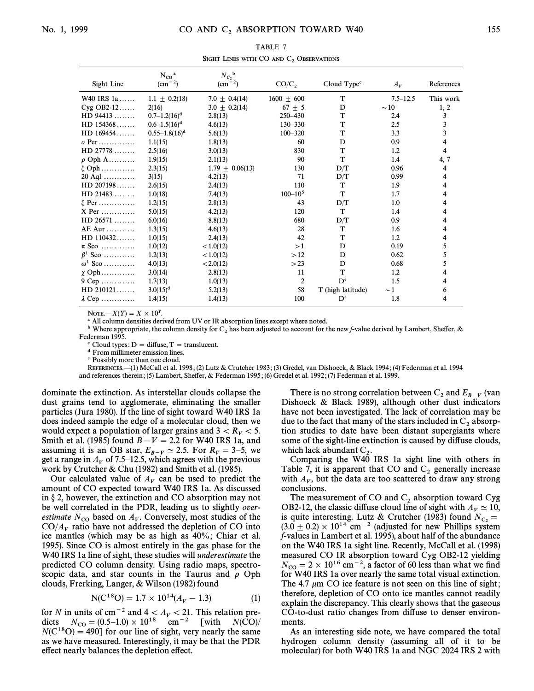| SIGHT LINES WITH CO AND $C_2$ Observations   |                                          |                                           |                |                         |              |            |
|----------------------------------------------|------------------------------------------|-------------------------------------------|----------------|-------------------------|--------------|------------|
| Sight Line                                   | $N_{CO}$ <sup>a</sup><br>$\rm (cm^{-2})$ | $N_{C_2}$ <sup>b</sup><br>$\rm (cm^{-2})$ | $CO/C$ ,       | Cloud Type <sup>c</sup> | $A_V$        | References |
| W40 IRS 1a                                   | $1.1 \pm 0.2(18)$                        | 7.0 $\pm$ 0.4(14)                         | $1600 \pm 600$ | T                       | $7.5 - 12.5$ | This work  |
| $Cyg$ OB2-12                                 | 2(16)                                    | $3.0 \pm 0.2(14)$                         | $67 \pm 5$     | D                       | $\sim$ 10    | 1, 2       |
| HD 94413                                     | $0.7-1.2(16)^d$                          | 2.8(13)                                   | 250-430        | T                       | 2.4          | 3          |
| HD 154368                                    | $0.6 - 1.5(16)^d$                        | 4.6(13)                                   | 130-330        | T                       | 2.5          | 3          |
| HD 169454                                    | $0.55 - 1.8(16)^d$                       | 5.6(13)                                   | $100 - 320$    | T                       | 3.3          | 3          |
| $\overline{P}$ Per                           | 1.1(15)                                  | 1.8(13)                                   | 60             | D                       | 0.9          |            |
| HD 27778                                     | 2.5(16)                                  | 3.0(13)                                   | 830            | T                       | 1.2          | 4          |
| $\Omega$ Oph A                               | 1.9(15)                                  | 2.1(13)                                   | 90             | T                       | 1.4          | 4, 7       |
| $\zeta$ Oph                                  | 2.3(15)                                  | $1.79 \pm 0.06(13)$                       | 130            | D/T                     | 0.96         | 4          |
| $20$ Aql                                     | 3(15)                                    | 4.2(13)                                   | 71             | D/T                     | 0.99         | 4          |
| HD 207198                                    | 2.6(15)                                  | 2.4(13)                                   | 110            | T                       | 1.9          | 4          |
| HD 21483                                     | 1.0(18)                                  | 7.4(13)                                   | $100 - 105$    | T                       | 1.7          | 4          |
| $\zeta$ Per                                  | 1.2(15)                                  | 2.8(13)                                   | 43             | D/T                     | 1.0          |            |
| $X$ Per                                      | 5.0(15)                                  | 4.2(13)                                   | 120            | T                       | 1.4          |            |
| HD 26571                                     | 6.0(16)                                  | 8.8(13)                                   | 680            | D/T                     | 0.9          |            |
| 4E Aur                                       | 1.3(15)                                  | 4.6(13)                                   | 28             | T                       | 1.6          | 4          |
| HD 110432                                    | 1.0(15)                                  | 2.4(13)                                   | 42             | T                       | 1.2          | 4          |
| $\tau$ Sco                                   | 1.0(12)                                  | < 1.0(12)                                 | >1             | D                       | 0.19         | 5          |
| $6^1$ Sco                                    | 1.2(13)                                  | < 1.0(12)                                 | >12            | D                       | 0.62         |            |
| $\omega^1$ Sco                               | 4.0(13)                                  | < 2.0(12)                                 | >23            | D                       | 0.68         |            |
| $\gamma$ Oph                                 | 3.0(14)                                  | 2.8(13)                                   | 11             | T                       | 1.2          |            |
| $O(\text{Cep} \dots \dots \dots \dots \dots$ | 1.7(13)                                  | 1.0(13)                                   | 2              | $D^e$                   | 1.5          |            |
| HD 210121                                    | 3.0(1.5) <sup>d</sup>                    | 52(13)                                    | 58             | T (high latitude)       | $\sim$ 1     | 6          |

NOTE.— $X(Y) = X \times 10^Y$ .

<sup>a</sup> All column densities derived from UV or IR absorption lines except where noted.

 $1.4(13)$ 

<sup>b</sup> Where appropriate, the column density for C<sub>2</sub> has been adjusted to account for the new f-value derived by Lambert, Sheffer, &

100

 $D^e$ 

Federman 1995.

 $\lambda$  Cep ............

Cloud types:  $D =$  diffuse,  $T =$  translucent.

 $1.4(15)$ 

<sup>d</sup> From millimeter emission lines.

<sup>e</sup> Possibly more than one cloud.

REFERENCES.-(1) McCall et al. 1998; (2) Lutz & Crutcher 1983; (3) Gredel, van Dishoeck, & Black 1994; (4) Federman et al. 1994 and references therein; (5) Lambert, Sheffer, & Federman 1995; (6) Gredel et al. 1992; (7) Federman et al. 1999.

dominate the extinction. As interstellar clouds collapse the dust grains tend to agglomerate, eliminating the smaller particles (Jura 1980). If the line of sight toward W40 IRS 1a does indeed sample the edge of a molecular cloud, then we would expect a population of larger grains and  $3 < R_V < 5$ . Smith et al. (1985) found  $B - V = 2.2$  for W40 IRS 1a, and<br>assuming it is an OB star,  $E_{B-V} \simeq 2.5$ . For  $R_V = 3-5$ , we get a range in  $A_V$  of 7.5–12.5, which agrees with the previous work by Crutcher & Chu (1982) and Smith et al. (1985).

Our calculated value of  $A_V$  can be used to predict the amount of CO expected toward W40 IRS 1a. As discussed in  $\S$  2, however, the extinction and CO absorption may not be well correlated in the PDR, leading us to slightly over*estimate*  $N_{\text{CO}}$  based on  $A_V$ . Conversely, most studies of the  $CO/A<sub>V</sub>$  ratio have not addressed the depletion of CO into ice mantles (which may be as high as 40%; Chiar et al. 1995). Since CO is almost entirely in the gas phase for the W40 IRS 1a line of sight, these studies will *underestimate* the predicted CO column density. Using radio maps, spectroscopic data, and star counts in the Taurus and  $\rho$  Oph clouds, Frerking, Langer, & Wilson (1982) found

$$
N(C^{18}O) = 1.7 \times 10^{14} (A_V - 1.3)
$$
 (1)

for *N* in units of cm<sup>-2</sup> and  $4 < A_V < 21$ . This relation predicts  $N_{\text{CO}} = (0.5-1.0) \times 10^{18}$  cm<sup>-2</sup> [with  $N(\text{CO})/$  $N(C^{18}O) = 490$ ] for our line of sight, very nearly the same as we have measured. Interestingly, it may be that the PDR effect nearly balances the depletion effect.

There is no strong correlation between  $C_2$  and  $E_{B-V}$  (van Dishoeck & Black 1989), although other dust indicators have not been investigated. The lack of correlation may be due to the fact that many of the stars included in  $C_2$  absorption studies to date have been distant supergiants where some of the sight-line extinction is caused by diffuse clouds, which lack abundant  $C_2$ .

1.8

 $\overline{4}$ 

Comparing the W40 IRS 1a sight line with others in Table 7, it is apparent that CO and  $C_2$  generally increase with  $A_V$ , but the data are too scattered to draw any strong conclusions.

The measurement of CO and  $C_2$  absorption toward Cyg OB2-12, the classic diffuse cloud line of sight with  $A_V \simeq 10$ , is quite interesting. Lutz & Crutcher (1983) found  $N_{C_2}$  =  $(3.0 \pm 0.2) \times 10^{14}$  cm<sup>-2</sup> (adjusted for new Phillips system f-values in Lambert et al. 1995), about half of the abundance on the W40 IRS 1a sight line. Recently, McCall et al. (1998) measured CO IR absorption toward Cyg OB2-12 yielding  $N_{\text{CO}} = 2 \times 10^{16} \text{ cm}^{-2}$ , a factor of 60 less than what we find for W40 IRS 1a over nearly the same total visual extinction. The 4.7  $\mu$ m CO ice feature is not seen on this line of sight; therefore, depletion of CO onto ice mantles cannot readily explain the discrepancy. This clearly shows that the gaseous CO-to-dust ratio changes from diffuse to denser environments.

As an interesting side note, we have compared the total hydrogen column density (assuming all of it to be molecular) for both W40 IRS 1a and NGC 2024 IRS 2 with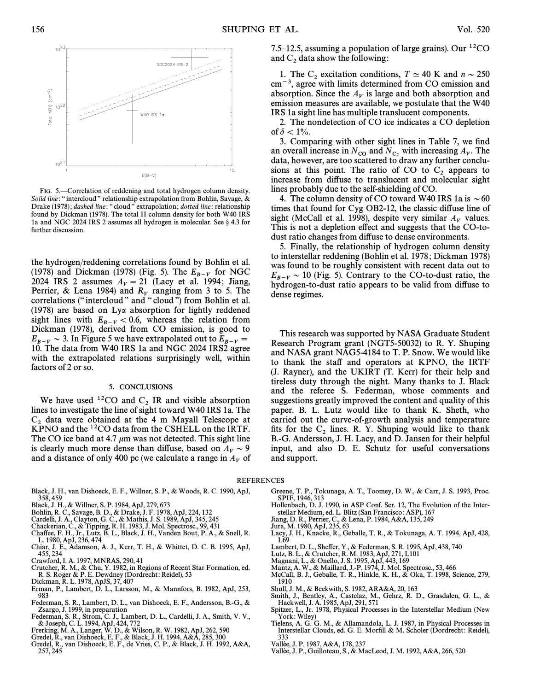

FIG. 5.-Correlation of reddening and total hydrogen column density. Solid line: "intercloud" relationship extrapolation from Bohlin, Savage,  $\&$ Drake (1978); dashed line: "cloud " extrapolation; dotted line: relationship found by Dickman (1978). The total H column density for both W40 IRS 1a and NGC 2024 IRS 2 assumes all hydrogen is molecular. See § 4.3 for further discussion.

the hydrogen/reddening correlations found by Bohlin et al. (1978) and Dickman (1978) (Fig. 5). The  $E_{B-V}$  for NGC 2024 IRS 2 assumes  $A_V = 21$  (Lacy et al. 1994; Jiang, Perrier, & Lena 1984) and  $R_V$  ranging from 3 to 5. The correlations ("intercloud" and "cloud") from Bohlin et al. (1978) are based on Lya absorption for lightly reddened sight lines with  $E_{B-V} < 0.6$ , whereas the relation from Dickman (1978), derived from CO emission, is good to  $E_{B-V} \sim 3$ . In Figure 5 we have extrapolated out to  $E_{B-V} =$ 10. The data from W40 IRS 1a and NGC 2024 IRS2 agree with the extrapolated relations surprisingly well, within factors of 2 or so.

#### 5. CONCLUSIONS

We have used <sup>12</sup>CO and  $C_2$  IR and visible absorption lines to investigate the line of sight toward W40 IRS 1a. The  $C_2$  data were obtained at the 4 m Mayall Telescope at KPNO and the  ${}^{12}CO$  data from the CSHELL on the IRTF. The CO ice band at 4.7  $\mu$ m was not detected. This sight line is clearly much more dense than diffuse, based on  $A_V \sim 9$ and a distance of only 400 pc (we calculate a range in  $A_V$  of

- Black, J. H., van Dishoeck, E. F., Willner, S. P., & Woods, R. C. 1990, ApJ, 358, 459
- 
- Black, J. H., & Willner, S. P. 1984, ApJ, 279, 673<br>Bohlin, R. C., Savage, B. D., & Drake, J. F. 1978, ApJ, 224, 132<br>Cardelli, J. A., Clayton, G. C., & Mathis, J. S. 1989, ApJ, 345, 245
- 
- 
- Chackerian, C., & Tipping, R. H. 1983, J. Mol. Spectrosc., 99, 431 Cha†ee, F. H., Jr., Lutz, B. L., Black, J. H., Vanden Bout, P. A., & Snell, R. L. 1980, ApJ, 236, 474
- Chiar, J. E., Adamson, A. J., Kerr, T. H., & Whittet, D. C. B. 1995, ApJ, 455, 234
- 
- Crawford, I. A. 1997, MNRAS, 290, 41 Crutcher, R. M., & Chu, Y. 1982, in Regions of Recent Star Formation, ed. R. S. Roger & P. E. Dewdney (Dordrecht : Reidel), 53
- 
- Dickman, R. L. 1978, ApJS, 37, 407 Erman, P., Lambert, D. L., Larsson, M., & Mannfors, B. 1982, ApJ, 253, 983
- Federman, S. R., Lambert, D. L., van Dishoeck, E. F., Andersson, B.-G., & Zsargo, J. 1999, in preparation
- Federman, S. R., Strom, C. J., Lambert, D. L., Cardelli, J. A., Smith, V. V., & Joseph, C. L. 1994, ApJ, 424, 772 Frerking, M. A., Langer, W. D., & Wilson, R. W. 1982, ApJ, 262, 590
- 
- 
- Gredel, R., van Dishoeck, E. F., & Black, J. H. 1994, A&A, 285, 300 Gredel, R., van Dishoeck, E. F., de Vries, C. P., & Black, J. H. 1992, A&A, 257, 245

7.5–12.5, assuming a population of large grains). Our  ${}^{12}CO$ and  $C_2$  data show the following:

1. The C<sub>2</sub> excitation conditions,  $T \approx 40$  K and  $n \sim 250$  cm<sup>-3</sup>, agree with limits determined from CO emission and absorption. Since the  $A_V$  is large and both absorption and emission measures are available, we postulate that the W40 IRS 1a sight line has multiple translucent components.

2. The nondetection of CO ice indicates a CO depletion of  $\delta$  < 1%.

3. Comparing with other sight lines in Table 7, we find an overall increase in  $N_{\text{CO}}$  and  $N_{\text{C}_2}$  with increasing  $A_V$ . The noncluder to scattered to draw any further concludata, however, are too scattered to draw any further conclusions at this point. The ratio of CO to  $C_2$  appears to increase from diffuse to translucent and molecular sight lines probably due to the self-shielding of CO.

4. The column density of CO toward W40 IRS 1a is  $\sim 60$ times that found for Cyg OB2-12, the classic diffuse line of sight (McCall et al. 1998), despite very similar  $A_V$  values. This is not a depletion effect and suggests that the CO-todust ratio changes from diffuse to dense environments.

5. Finally, the relationship of hydrogen column density to interstellar reddening (Bohlin et al. 1978 ; Dickman 1978) was found to be roughly consistent with recent data out to  $E_{B-V} \sim 10$  (Fig. 5). Contrary to the CO-to-dust ratio, the hydrogen-to-dust ratio appears to be valid from diffuse to dense regimes.

This research was supported by NASA Graduate Student Research Program grant (NGT5-50032) to R. Y. Shuping and NASA grant NAG5-4184 to T. P. Snow. We would like to thank the sta† and operators at KPNO, the IRTF (J. Rayner), and the UKIRT (T. Kerr) for their help and tireless duty through the night. Many thanks to J. Black and the referee S. Federman, whose comments and suggestions greatly improved the content and quality of this paper. B. L. Lutz would like to thank K. Sheth, who carried out the curve-of-growth analysis and temperature fits for the  $C_2$  lines. R. Y. Shuping would like to thank B.-G. Andersson, J. H. Lacy, and D. Jansen for their helpful input, and also D. E. Schutz for useful conversations and support.

#### REFERENCES

- Greene, T. P., Tokunaga, A. T., Toomey, D. W., & Carr, J. S. 1993, Proc. SPIE, 1946, 313
- Hollenbach, D. J. 1990, in ASP Conf. Ser. 12, The Evolution of the Interstellar Medium, ed. L. Blitz (San Francisco : ASP), 167
- Jiang, D. R., Perrier, C., & Lena, P. 1984, A&A, 135, 249
- 
- Jura, M. 1980, ApJ, 235, 63 Lacy, J. H., Knacke, R., Geballe, T. R., & Tokunaga, A. T. 1994, ApJ, 428, L69
- Lambert, D. L., She†er, Y., & Federman, S. R. 1995, ApJ, 438, 740 Lutz, B. L., & Crutcher, R. M. 1983, ApJ, 271, L101
- 
- 
- Magnani, L., & Onello, J. S. 1995, ApJ, 443, 169 Mantz, A. W., & Maillard, J.-P. 1974, J. Mol. Spectrosc., 53, 466
- McCall, B. J., Geballe, T. R., Hinkle, K. H., & Oka, T. 1998, Science, 279,
- 1910 Shull, J. M., & Beckwith, S. 1982, ARA&A, 20, 163
- Smith, J., Bentley, A., Castelaz, M., Gehrz, R. D., Grasdalen, G. L., & Hackwell, J. A. 1985, ApJ, 291, 571
- Spitzer, L., Jr. 1978, Physical Processes in the Interstellar Medium (New York: Wiley)
- Tielens, A. G. G. M., & Allamandola, L. J. 1987, in Physical Processes in Interstellar Clouds, ed. G. E. Morfill & M. Scholer (Dordrecht: Reidel),
- 333 Vallee, J. P. 1987, A&A, 178, 237
- Vallee, J. P., Guilloteau, S., & MacLeod, J. M. 1992, A&A, 266, 520